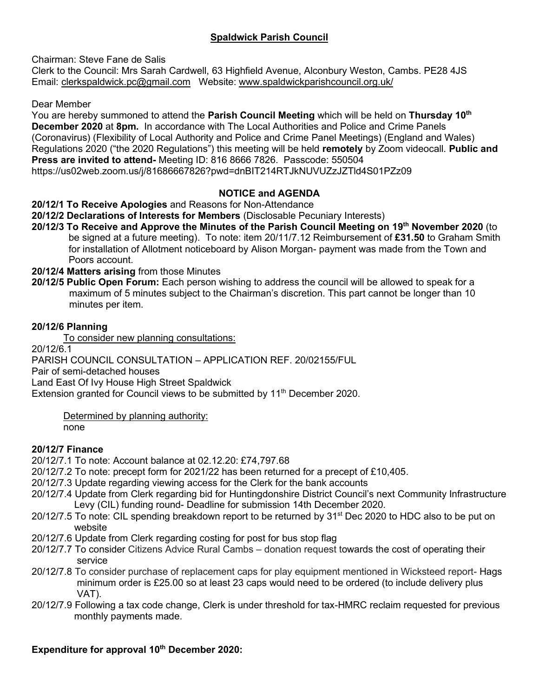# **Spaldwick Parish Council**

Chairman: Steve Fane de Salis

Clerk to the Council: Mrs Sarah Cardwell, 63 Highfield Avenue, Alconbury Weston, Cambs. PE28 4JS Email: [clerkspaldwick.pc@gmail.com](mailto:clerkspaldwick.pc@gmail.com) Website: [www.spaldwickparishcouncil.org.uk/](http://www.spaldwickparishcouncil.org.uk/)

Dear Member

You are hereby summoned to attend the **Parish Council Meeting** which will be held on **Thursday 10 th December 2020** at **8pm.** In accordance with The Local Authorities and Police and Crime Panels (Coronavirus) (Flexibility of Local Authority and Police and Crime Panel Meetings) (England and Wales) Regulations 2020 ("the 2020 Regulations") this meeting will be held **remotely** by Zoom videocall. **Public and Press are invited to attend-** Meeting ID: 816 8666 7826. Passcode: 550504 https://us02web.zoom.us/j/81686667826?pwd=dnBIT214RTJkNUVUZzJZTld4S01PZz09

## **NOTICE and AGENDA**

**20/12/1 To Receive Apologies** and Reasons for Non-Attendance

**20/12/2 Declarations of Interests for Members** (Disclosable Pecuniary Interests)

**20/12/3 To Receive and Approve the Minutes of the Parish Council Meeting on 19 th November 2020** (to be signed at a future meeting). To note: item 20/11/7.12 Reimbursement of **£31.50** to Graham Smith for installation of Allotment noticeboard by Alison Morgan- payment was made from the Town and Poors account.

**20/12/4 Matters arising** from those Minutes

**20/12/5 Public Open Forum:** Each person wishing to address the council will be allowed to speak for a maximum of 5 minutes subject to the Chairman's discretion. This part cannot be longer than 10 minutes per item.

### **20/12/6 Planning**

To consider new planning consultations:

20/12/6.1

PARISH COUNCIL CONSULTATION – APPLICATION REF. 20/02155/FUL

Pair of semi-detached houses

Land East Of Ivy House High Street Spaldwick

Extension granted for Council views to be submitted by 11<sup>th</sup> December 2020.

Determined by planning authority:

none

## **20/12/7 Finance**

20/12/7.1 To note: Account balance at 02.12.20: £74,797.68

20/12/7.2 To note: precept form for 2021/22 has been returned for a precept of £10,405.

- 20/12/7.3 Update regarding viewing access for the Clerk for the bank accounts
- 20/12/7.4 Update from Clerk regarding bid for Huntingdonshire District Council's next Community Infrastructure Levy (CIL) funding round- Deadline for submission 14th December 2020.
- 20/12/7.5 To note: CIL spending breakdown report to be returned by 31<sup>st</sup> Dec 2020 to HDC also to be put on website
- 20/12/7.6 Update from Clerk regarding costing for post for bus stop flag
- 20/12/7.7 To consider Citizens Advice Rural Cambs donation request towards the cost of operating their service
- 20/12/7.8 To consider purchase of replacement caps for play equipment mentioned in Wicksteed report- Hags minimum order is £25.00 so at least 23 caps would need to be ordered (to include delivery plus VAT).
- 20/12/7.9 Following a tax code change, Clerk is under threshold for tax-HMRC reclaim requested for previous monthly payments made.

## **Expenditure for approval 10 th December 2020:**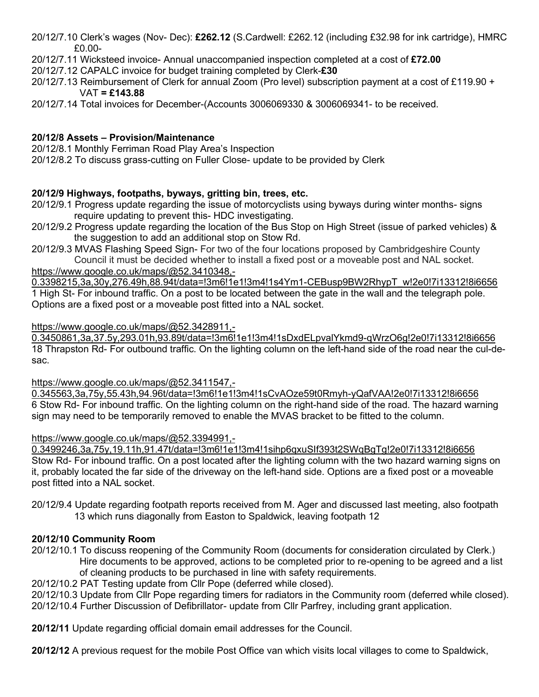- 20/12/7.10 Clerk's wages (Nov- Dec): **£262.12** (S.Cardwell: £262.12 (including £32.98 for ink cartridge), HMRC £0.00-
- 20/12/7.11 Wicksteed invoice- Annual unaccompanied inspection completed at a cost of **£72.00**
- 20/12/7.12 CAPALC invoice for budget training completed by Clerk-**£30**
- 20/12/7.13 Reimbursement of Clerk for annual Zoom (Pro level) subscription payment at a cost of £119.90 + VAT **= £143.88**
- 20/12/7.14 Total invoices for December-(Accounts 3006069330 & 3006069341- to be received.

# **20/12/8 Assets – Provision/Maintenance**

20/12/8.1 Monthly Ferriman Road Play Area's Inspection

20/12/8.2 To discuss grass-cutting on Fuller Close- update to be provided by Clerk

# **20/12/9 Highways, footpaths, byways, gritting bin, trees, etc.**

- 20/12/9.1 Progress update regarding the issue of motorcyclists using byways during winter months- signs require updating to prevent this- HDC investigating.
- 20/12/9.2 Progress update regarding the location of the Bus Stop on High Street (issue of parked vehicles) & the suggestion to add an additional stop on Stow Rd.
- 20/12/9.3 MVAS Flashing Speed Sign- For two of the four locations proposed by Cambridgeshire County Council it must be decided whether to install a fixed post or a moveable post and NAL socket[.](https://www.google.co.uk/maps/@52.3410348,-0.3398215,3a,30y,276.49h,88.94t/data=!3m6!1e1!3m4!1s4Ym1-CEBusp9BW2RhypT_w!2e0!7i13312!8i6656)

[https://www.google.co.uk/maps/@52.3410348,-](https://www.google.co.uk/maps/@52.3410348,-0.3398215,3a,30y,276.49h,88.94t/data=!3m6!1e1!3m4!1s4Ym1-CEBusp9BW2RhypT_w!2e0!7i13312!8i6656)

[0.3398215,3a,30y,276.49h,88.94t/data=!3m6!1e1!3m4!1s4Ym1-CEBusp9BW2RhypT\\_w!2e0!7i13312!8i6656](https://www.google.co.uk/maps/@52.3410348,-0.3398215,3a,30y,276.49h,88.94t/data=!3m6!1e1!3m4!1s4Ym1-CEBusp9BW2RhypT_w!2e0!7i13312!8i6656) 1 High St- For inbound traffic. On a post to be located between the gate in the wall and the telegraph pole. Options are a fixed post or a moveable post fitted into a NAL socket.

### [https://www.google.co.uk/maps/@52.3428911,-](https://www.google.co.uk/maps/@52.3428911,-0.3450861,3a,37.5y,293.01h,93.89t/data=!3m6!1e1!3m4!1sDxdELpvalYkmd9-qWrzO6g!2e0!7i13312!8i6656)

[0.3450861,3a,37.5y,293.01h,93.89t/data=!3m6!1e1!3m4!1sDxdELpvalYkmd9-qWrzO6g!2e0!7i13312!8i6656](https://www.google.co.uk/maps/@52.3428911,-0.3450861,3a,37.5y,293.01h,93.89t/data=!3m6!1e1!3m4!1sDxdELpvalYkmd9-qWrzO6g!2e0!7i13312!8i6656) 18 Thrapston Rd- For outbound traffic. On the lighting column on the left-hand side of the road near the cul-desac.

[https://www.google.co.uk/maps/@52.3411547,-](https://www.google.co.uk/maps/@52.3411547,-0.345563,3a,75y,55.43h,94.96t/data=!3m6!1e1!3m4!1sCvAOze59t0Rmyh-yQafVAA!2e0!7i13312!8i6656)

[0.345563,3a,75y,55.43h,94.96t/data=!3m6!1e1!3m4!1sCvAOze59t0Rmyh-yQafVAA!2e0!7i13312!8i6656](https://www.google.co.uk/maps/@52.3411547,-0.345563,3a,75y,55.43h,94.96t/data=!3m6!1e1!3m4!1sCvAOze59t0Rmyh-yQafVAA!2e0!7i13312!8i6656) 6 Stow Rd- For inbound traffic. On the lighting column on the right-hand side of the road. The hazard warning sign may need to be temporarily removed to enable the MVAS bracket to be fitted to the column.

## [https://www.google.co.uk/maps/@52.3394991,-](https://www.google.co.uk/maps/@52.3394991,-0.3499246,3a,75y,19.11h,91.47t/data=!3m6!1e1!3m4!1sihp6qxuSIf393t2SWqBgTg!2e0!7i13312!8i6656)

[0.3499246,3a,75y,19.11h,91.47t/data=!3m6!1e1!3m4!1sihp6qxuSIf393t2SWqBgTg!2e0!7i13312!8i6656](https://www.google.co.uk/maps/@52.3394991,-0.3499246,3a,75y,19.11h,91.47t/data=!3m6!1e1!3m4!1sihp6qxuSIf393t2SWqBgTg!2e0!7i13312!8i6656) Stow Rd- For inbound traffic. On a post located after the lighting column with the two hazard warning signs on it, probably located the far side of the driveway on the left-hand side. Options are a fixed post or a moveable post fitted into a NAL socket.

20/12/9.4 Update regarding footpath reports received from M. Ager and discussed last meeting, also footpath 13 which runs diagonally from Easton to Spaldwick, leaving footpath 12

## **20/12/10 Community Room**

- 20/12/10.1 To discuss reopening of the Community Room (documents for consideration circulated by Clerk.) Hire documents to be approved, actions to be completed prior to re-opening to be agreed and a list of cleaning products to be purchased in line with safety requirements.
- 20/12/10.2 PAT Testing update from Cllr Pope (deferred while closed).

20/12/10.3 Update from Cllr Pope regarding timers for radiators in the Community room (deferred while closed). 20/12/10.4 Further Discussion of Defibrillator- update from Cllr Parfrey, including grant application.

**20/12/11** Update regarding official domain email addresses for the Council.

**20/12/12** A previous request for the mobile Post Office van which visits local villages to come to Spaldwick,